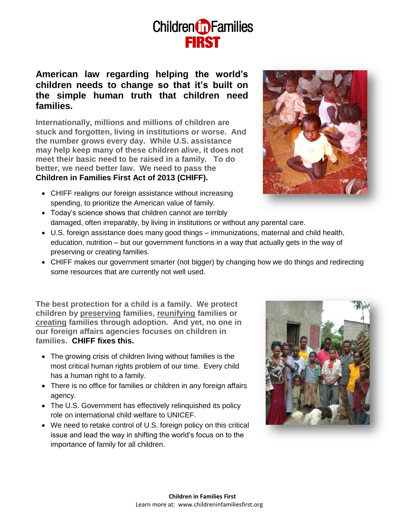## **Children D** Families

## **American law regarding helping the world's children needs to change so that it's built on the simple human truth that children need families.**

**Internationally, millions and millions of children are stuck and forgotten, living in institutions or worse. And the number grows every day. While U.S. assistance may help keep many of these children alive, it does not meet their basic need to be raised in a family. To do better, we need better law. We need to pass the Children in Families First Act of 2013 (CHIFF).**

- CHIFF realigns our foreign assistance without increasing spending, to prioritize the American value of family.
- Today's science shows that children cannot are terribly damaged, often irreparably, by living in institutions or without any parental care.
- U.S. foreign assistance does many good things immunizations, maternal and child health, education, nutrition – but our government functions in a way that actually gets in the way of preserving or creating families.
- CHIFF makes our government smarter (not bigger) by changing how we do things and redirecting some resources that are currently not well used.

**The best protection for a child is a family. We protect children by preserving families, reunifying families or creating families through adoption. And yet, no one in our foreign affairs agencies focuses on children in families. CHIFF fixes this.**

- The growing crisis of children living without families is the most critical human rights problem of our time. Every child has a human right to a family.
- There is no office for families or children in any foreign affairs agency.
- The U.S. Government has effectively relinquished its policy role on international child welfare to UNICEF.
- We need to retake control of U.S. foreign policy on this critical issue and lead the way in shifting the world's focus on to the importance of family for all children.